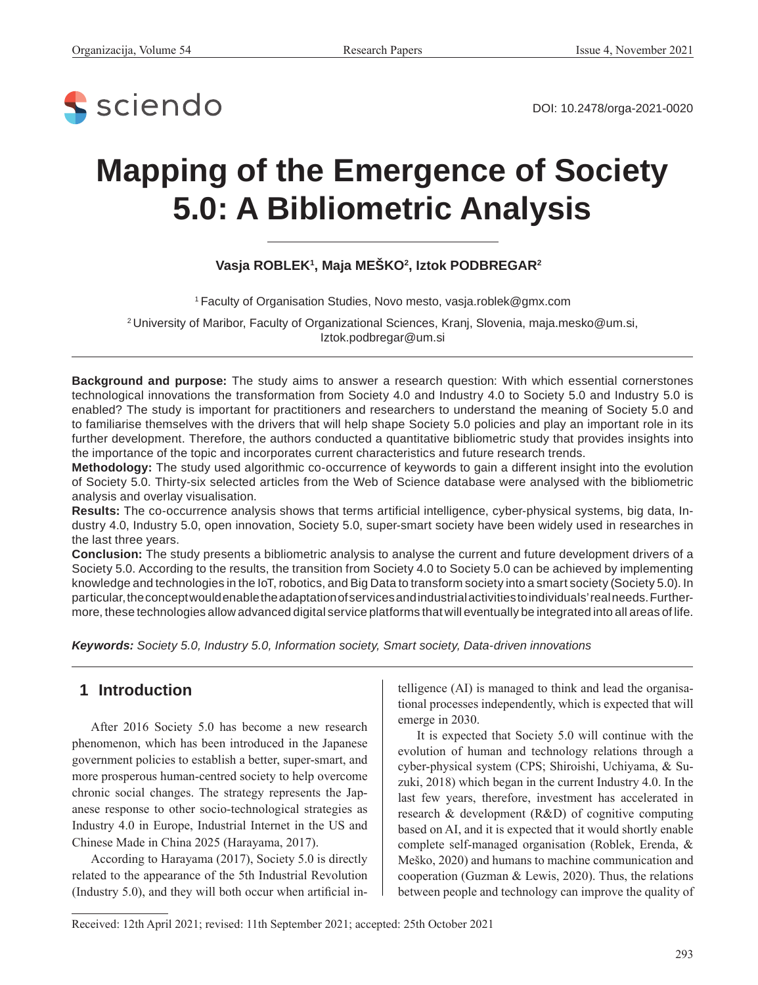

DOI: [10.2478/orga-2021-00](https://doi.org/10.2478/orga-2021-0020)20

# **Mapping of the Emergence of Society 5.0: A Bibliometric Analysis**

**Vasja ROBLEK1 , Maja MEŠKO2 , Iztok PODBREGAR2**

1 Faculty of Organisation Studies, Novo mesto, vasja.roblek@gmx.com

2 University of Maribor, Faculty of Organizational Sciences, Kranj, Slovenia, maja.mesko@um.si, Iztok.podbregar@um.si

**Background and purpose:** The study aims to answer a research question: With which essential cornerstones technological innovations the transformation from Society 4.0 and Industry 4.0 to Society 5.0 and Industry 5.0 is enabled? The study is important for practitioners and researchers to understand the meaning of Society 5.0 and to familiarise themselves with the drivers that will help shape Society 5.0 policies and play an important role in its further development. Therefore, the authors conducted a quantitative bibliometric study that provides insights into the importance of the topic and incorporates current characteristics and future research trends.

**Methodology:** The study used algorithmic co-occurrence of keywords to gain a different insight into the evolution of Society 5.0. Thirty-six selected articles from the Web of Science database were analysed with the bibliometric analysis and overlay visualisation.

**Results:** The co-occurrence analysis shows that terms artificial intelligence, cyber-physical systems, big data, Industry 4.0, Industry 5.0, open innovation, Society 5.0, super-smart society have been widely used in researches in the last three years.

**Conclusion:** The study presents a bibliometric analysis to analyse the current and future development drivers of a Society 5.0. According to the results, the transition from Society 4.0 to Society 5.0 can be achieved by implementing knowledge and technologies in the IoT, robotics, and Big Data to transform society into a smart society (Society 5.0). In particular, the concept would enable the adaptation of services and industrial activities to individuals' real needs. Furthermore, these technologies allow advanced digital service platforms that will eventually be integrated into all areas of life.

*Keywords: Society 5.0, Industry 5.0, Information society, Smart society, Data-driven innovations*

#### **1 Introduction**

 $\overline{a}$ 

After 2016 Society 5.0 has become a new research phenomenon, which has been introduced in the Japanese government policies to establish a better, super-smart, and more prosperous human-centred society to help overcome chronic social changes. The strategy represents the Japanese response to other socio-technological strategies as Industry 4.0 in Europe, Industrial Internet in the US and Chinese Made in China 2025 (Harayama, 2017).

According to Harayama (2017), Society 5.0 is directly related to the appearance of the 5th Industrial Revolution (Industry 5.0), and they will both occur when artificial intelligence (AI) is managed to think and lead the organisational processes independently, which is expected that will emerge in 2030.

It is expected that Society 5.0 will continue with the evolution of human and technology relations through a cyber-physical system (CPS; Shiroishi, Uchiyama, & Suzuki, 2018) which began in the current Industry 4.0. In the last few years, therefore, investment has accelerated in research & development (R&D) of cognitive computing based on AI, and it is expected that it would shortly enable complete self-managed organisation (Roblek, Erenda, & Meško, 2020) and humans to machine communication and cooperation (Guzman & Lewis, 2020). Thus, the relations between people and technology can improve the quality of

Received: 12th April 2021; revised: 11th September 2021; accepted: 25th October 2021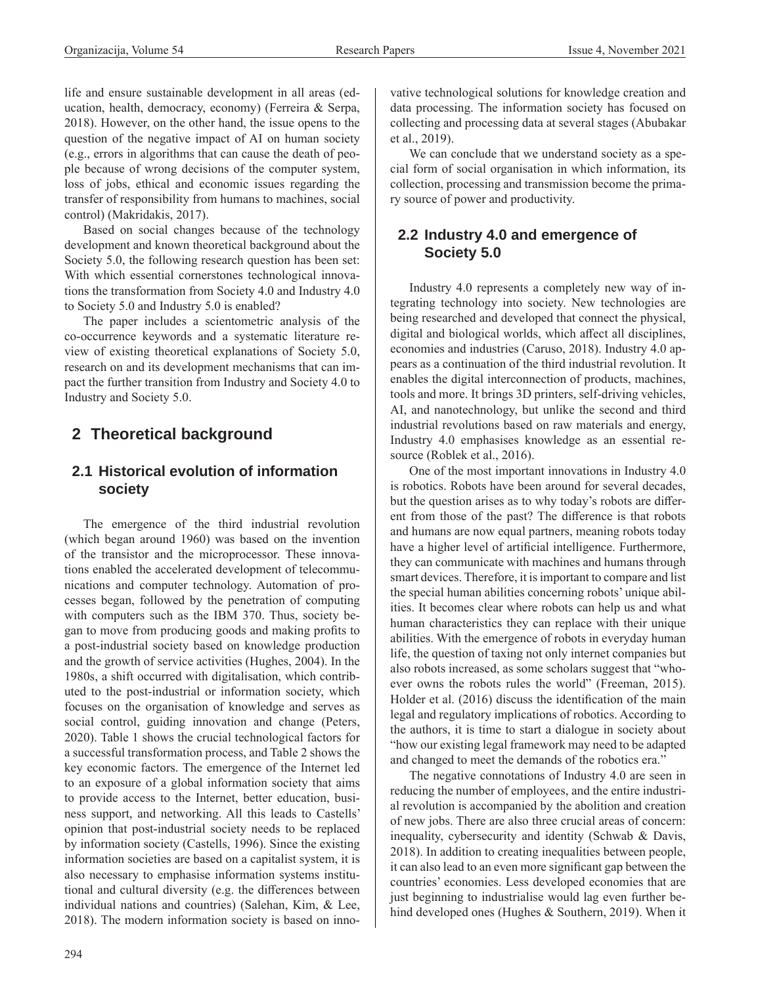life and ensure sustainable development in all areas (education, health, democracy, economy) (Ferreira & Serpa, 2018). However, on the other hand, the issue opens to the question of the negative impact of AI on human society (e.g., errors in algorithms that can cause the death of people because of wrong decisions of the computer system, loss of jobs, ethical and economic issues regarding the transfer of responsibility from humans to machines, social control) (Makridakis, 2017).

Based on social changes because of the technology development and known theoretical background about the Society 5.0, the following research question has been set: With which essential cornerstones technological innovations the transformation from Society 4.0 and Industry 4.0 to Society 5.0 and Industry 5.0 is enabled?

The paper includes a scientometric analysis of the co-occurrence keywords and a systematic literature review of existing theoretical explanations of Society 5.0, research on and its development mechanisms that can impact the further transition from Industry and Society 4.0 to Industry and Society 5.0.

## **2 Theoretical background**

## **2.1 Historical evolution of information society**

The emergence of the third industrial revolution (which began around 1960) was based on the invention of the transistor and the microprocessor. These innovations enabled the accelerated development of telecommunications and computer technology. Automation of processes began, followed by the penetration of computing with computers such as the IBM 370. Thus, society began to move from producing goods and making profits to a post-industrial society based on knowledge production and the growth of service activities (Hughes, 2004). In the 1980s, a shift occurred with digitalisation, which contributed to the post-industrial or information society, which focuses on the organisation of knowledge and serves as social control, guiding innovation and change (Peters, 2020). Table 1 shows the crucial technological factors for a successful transformation process, and Table 2 shows the key economic factors. The emergence of the Internet led to an exposure of a global information society that aims to provide access to the Internet, better education, business support, and networking. All this leads to Castells' opinion that post-industrial society needs to be replaced by information society (Castells, 1996). Since the existing information societies are based on a capitalist system, it is also necessary to emphasise information systems institutional and cultural diversity (e.g. the differences between individual nations and countries) (Salehan, Kim, & Lee, 2018). The modern information society is based on innovative technological solutions for knowledge creation and data processing. The information society has focused on collecting and processing data at several stages (Abubakar et al., 2019).

We can conclude that we understand society as a special form of social organisation in which information, its collection, processing and transmission become the primary source of power and productivity.

#### **2.2 Industry 4.0 and emergence of Society 5.0**

Industry 4.0 represents a completely new way of integrating technology into society. New technologies are being researched and developed that connect the physical, digital and biological worlds, which affect all disciplines, economies and industries (Caruso, 2018). Industry 4.0 appears as a continuation of the third industrial revolution. It enables the digital interconnection of products, machines, tools and more. It brings 3D printers, self-driving vehicles, AI, and nanotechnology, but unlike the second and third industrial revolutions based on raw materials and energy, Industry 4.0 emphasises knowledge as an essential resource (Roblek et al., 2016).

One of the most important innovations in Industry 4.0 is robotics. Robots have been around for several decades, but the question arises as to why today's robots are different from those of the past? The difference is that robots and humans are now equal partners, meaning robots today have a higher level of artificial intelligence. Furthermore, they can communicate with machines and humans through smart devices. Therefore, it is important to compare and list the special human abilities concerning robots' unique abilities. It becomes clear where robots can help us and what human characteristics they can replace with their unique abilities. With the emergence of robots in everyday human life, the question of taxing not only internet companies but also robots increased, as some scholars suggest that "whoever owns the robots rules the world" (Freeman, 2015). Holder et al. (2016) discuss the identification of the main legal and regulatory implications of robotics. According to the authors, it is time to start a dialogue in society about "how our existing legal framework may need to be adapted and changed to meet the demands of the robotics era."

The negative connotations of Industry 4.0 are seen in reducing the number of employees, and the entire industrial revolution is accompanied by the abolition and creation of new jobs. There are also three crucial areas of concern: inequality, cybersecurity and identity (Schwab & Davis, 2018). In addition to creating inequalities between people, it can also lead to an even more significant gap between the countries' economies. Less developed economies that are just beginning to industrialise would lag even further behind developed ones (Hughes & Southern, 2019). When it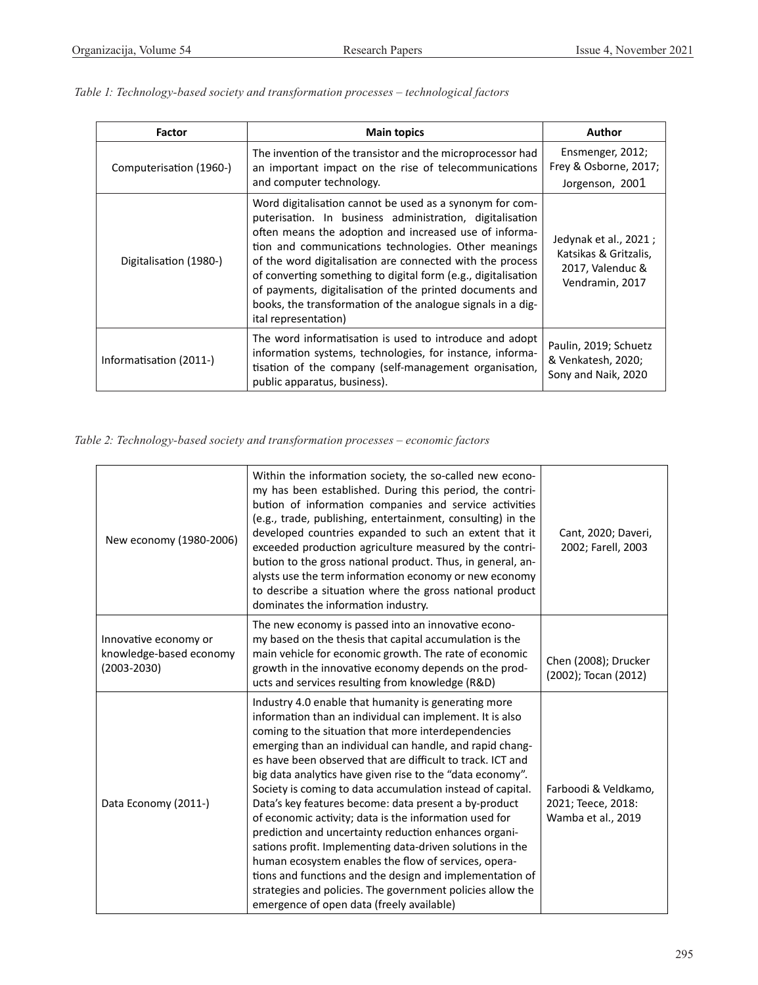| <b>Factor</b>           | <b>Main topics</b>                                                                                                                                                                                                                                                                                                                                                                                                                                                                                                      | Author                                                                                |  |
|-------------------------|-------------------------------------------------------------------------------------------------------------------------------------------------------------------------------------------------------------------------------------------------------------------------------------------------------------------------------------------------------------------------------------------------------------------------------------------------------------------------------------------------------------------------|---------------------------------------------------------------------------------------|--|
| Computerisation (1960-) | The invention of the transistor and the microprocessor had<br>an important impact on the rise of telecommunications                                                                                                                                                                                                                                                                                                                                                                                                     | Ensmenger, 2012;<br>Frey & Osborne, 2017;                                             |  |
|                         | and computer technology.                                                                                                                                                                                                                                                                                                                                                                                                                                                                                                | Jorgenson, 2001                                                                       |  |
| Digitalisation (1980-)  | Word digitalisation cannot be used as a synonym for com-<br>puterisation. In business administration, digitalisation<br>often means the adoption and increased use of informa-<br>tion and communications technologies. Other meanings<br>of the word digitalisation are connected with the process<br>of converting something to digital form (e.g., digitalisation<br>of payments, digitalisation of the printed documents and<br>books, the transformation of the analogue signals in a dig-<br>ital representation) | Jedynak et al., 2021;<br>Katsikas & Gritzalis,<br>2017, Valenduc &<br>Vendramin, 2017 |  |
| Informatisation (2011-) | The word informatisation is used to introduce and adopt<br>information systems, technologies, for instance, informa-<br>tisation of the company (self-management organisation,<br>public apparatus, business).                                                                                                                                                                                                                                                                                                          | Paulin, 2019; Schuetz<br>& Venkatesh, 2020;<br>Sony and Naik, 2020                    |  |

*Table 1: Technology-based society and transformation processes – technological factors*

*Table 2: Technology-based society and transformation processes – economic factors*

| New economy (1980-2006)                                         | Within the information society, the so-called new econo-<br>my has been established. During this period, the contri-<br>bution of information companies and service activities<br>(e.g., trade, publishing, entertainment, consulting) in the<br>developed countries expanded to such an extent that it<br>exceeded production agriculture measured by the contri-<br>bution to the gross national product. Thus, in general, an-<br>alysts use the term information economy or new economy<br>to describe a situation where the gross national product<br>dominates the information industry.                                                                                                                                                                                                                                                                                                       | Cant, 2020; Daveri,<br>2002; Farell, 2003                        |
|-----------------------------------------------------------------|------------------------------------------------------------------------------------------------------------------------------------------------------------------------------------------------------------------------------------------------------------------------------------------------------------------------------------------------------------------------------------------------------------------------------------------------------------------------------------------------------------------------------------------------------------------------------------------------------------------------------------------------------------------------------------------------------------------------------------------------------------------------------------------------------------------------------------------------------------------------------------------------------|------------------------------------------------------------------|
| Innovative economy or<br>knowledge-based economy<br>(2003-2030) | The new economy is passed into an innovative econo-<br>my based on the thesis that capital accumulation is the<br>main vehicle for economic growth. The rate of economic<br>growth in the innovative economy depends on the prod-<br>ucts and services resulting from knowledge (R&D)                                                                                                                                                                                                                                                                                                                                                                                                                                                                                                                                                                                                                | Chen (2008); Drucker<br>(2002); Tocan (2012)                     |
| Data Economy (2011-)                                            | Industry 4.0 enable that humanity is generating more<br>information than an individual can implement. It is also<br>coming to the situation that more interdependencies<br>emerging than an individual can handle, and rapid chang-<br>es have been observed that are difficult to track. ICT and<br>big data analytics have given rise to the "data economy".<br>Society is coming to data accumulation instead of capital.<br>Data's key features become: data present a by-product<br>of economic activity; data is the information used for<br>prediction and uncertainty reduction enhances organi-<br>sations profit. Implementing data-driven solutions in the<br>human ecosystem enables the flow of services, opera-<br>tions and functions and the design and implementation of<br>strategies and policies. The government policies allow the<br>emergence of open data (freely available) | Farboodi & Veldkamo,<br>2021; Teece, 2018:<br>Wamba et al., 2019 |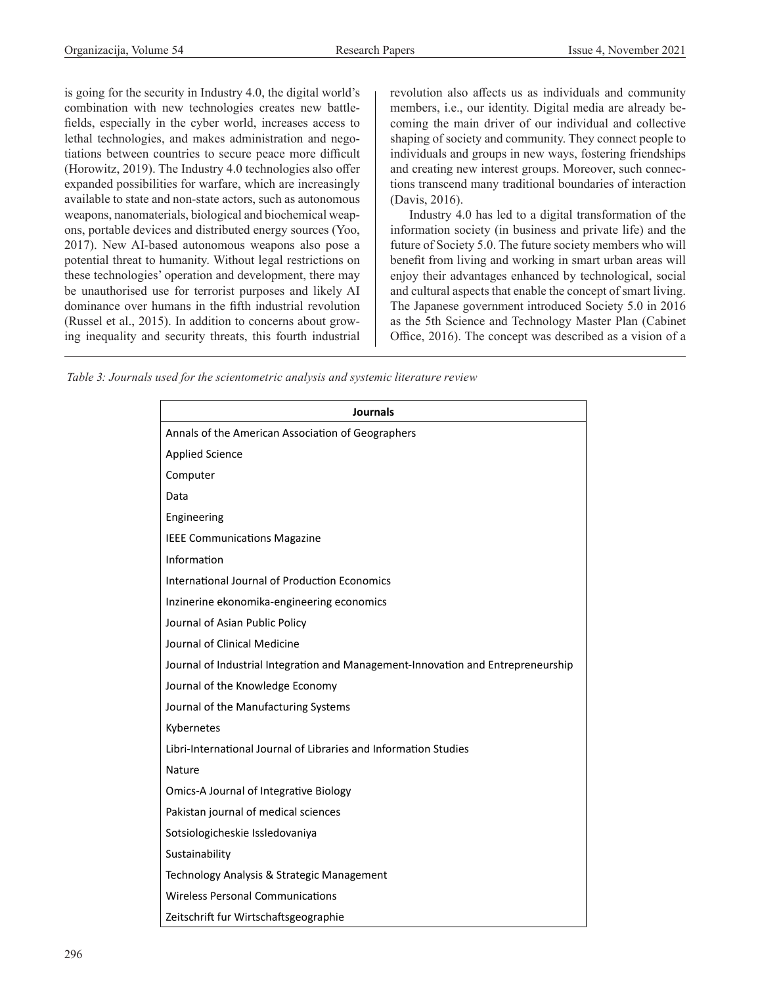is going for the security in Industry 4.0, the digital world's combination with new technologies creates new battlefields, especially in the cyber world, increases access to lethal technologies, and makes administration and negotiations between countries to secure peace more difficult (Horowitz, 2019). The Industry 4.0 technologies also offer expanded possibilities for warfare, which are increasingly available to state and non-state actors, such as autonomous weapons, nanomaterials, biological and biochemical weapons, portable devices and distributed energy sources (Yoo, 2017). New AI-based autonomous weapons also pose a potential threat to humanity. Without legal restrictions on these technologies' operation and development, there may be unauthorised use for terrorist purposes and likely AI dominance over humans in the fifth industrial revolution (Russel et al., 2015). In addition to concerns about growing inequality and security threats, this fourth industrial revolution also affects us as individuals and community members, i.e., our identity. Digital media are already becoming the main driver of our individual and collective shaping of society and community. They connect people to individuals and groups in new ways, fostering friendships and creating new interest groups. Moreover, such connections transcend many traditional boundaries of interaction (Davis, 2016).

Industry 4.0 has led to a digital transformation of the information society (in business and private life) and the future of Society 5.0. The future society members who will benefit from living and working in smart urban areas will enjoy their advantages enhanced by technological, social and cultural aspects that enable the concept of smart living. The Japanese government introduced Society 5.0 in 2016 as the 5th Science and Technology Master Plan (Cabinet Office, 2016). The concept was described as a vision of a

*Table 3: Journals used for the scientometric analysis and systemic literature review*

| <b>Journals</b>                                                                  |  |  |
|----------------------------------------------------------------------------------|--|--|
| Annals of the American Association of Geographers                                |  |  |
| <b>Applied Science</b>                                                           |  |  |
| Computer                                                                         |  |  |
| Data                                                                             |  |  |
| Engineering                                                                      |  |  |
| <b>IEEE Communications Magazine</b>                                              |  |  |
| Information                                                                      |  |  |
| International Journal of Production Economics                                    |  |  |
| Inzinerine ekonomika-engineering economics                                       |  |  |
| Journal of Asian Public Policy                                                   |  |  |
| Journal of Clinical Medicine                                                     |  |  |
| Journal of Industrial Integration and Management-Innovation and Entrepreneurship |  |  |
| Journal of the Knowledge Economy                                                 |  |  |
| Journal of the Manufacturing Systems                                             |  |  |
| Kybernetes                                                                       |  |  |
| Libri-International Journal of Libraries and Information Studies                 |  |  |
| Nature                                                                           |  |  |
| Omics-A Journal of Integrative Biology                                           |  |  |
| Pakistan journal of medical sciences                                             |  |  |
| Sotsiologicheskie Issledovaniya                                                  |  |  |
| Sustainability                                                                   |  |  |
| Technology Analysis & Strategic Management                                       |  |  |
| <b>Wireless Personal Communications</b>                                          |  |  |
| Zeitschrift fur Wirtschaftsgeographie                                            |  |  |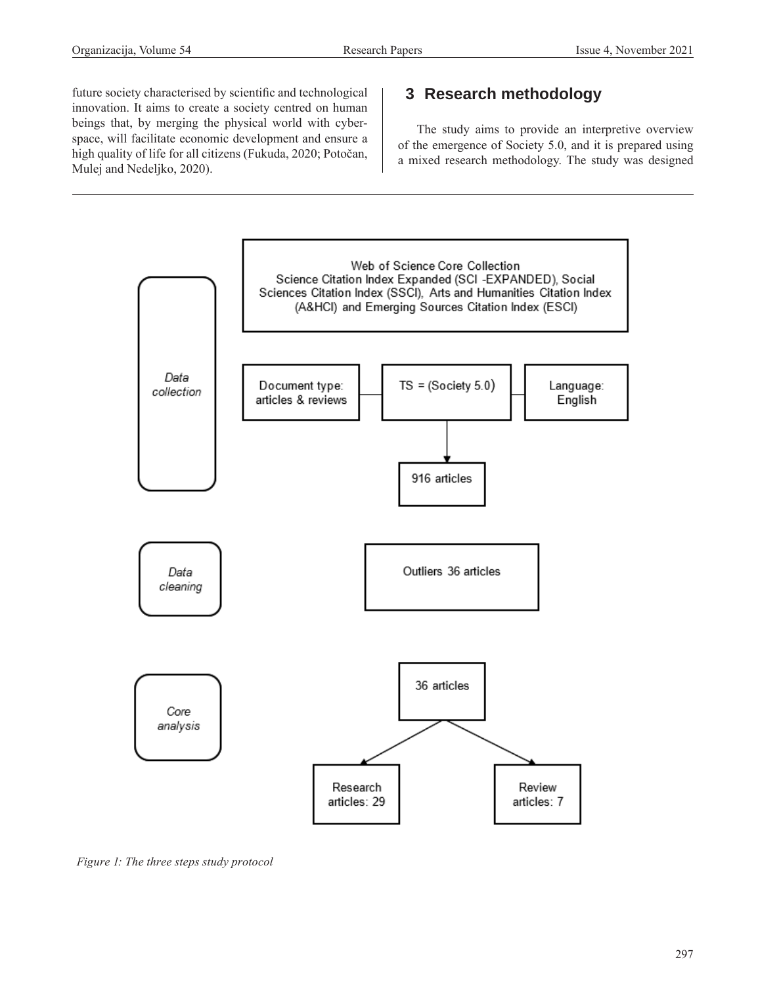future society characterised by scientific and technological innovation. It aims to create a society centred on human beings that, by merging the physical world with cyberspace, will facilitate economic development and ensure a high quality of life for all citizens (Fukuda, 2020; Potočan, Mulej and Nedeljko, 2020).

# **3 Research methodology**

The study aims to provide an interpretive overview of the emergence of Society 5.0, and it is prepared using a mixed research methodology. The study was designed



*Figure 1: The three steps study protocol*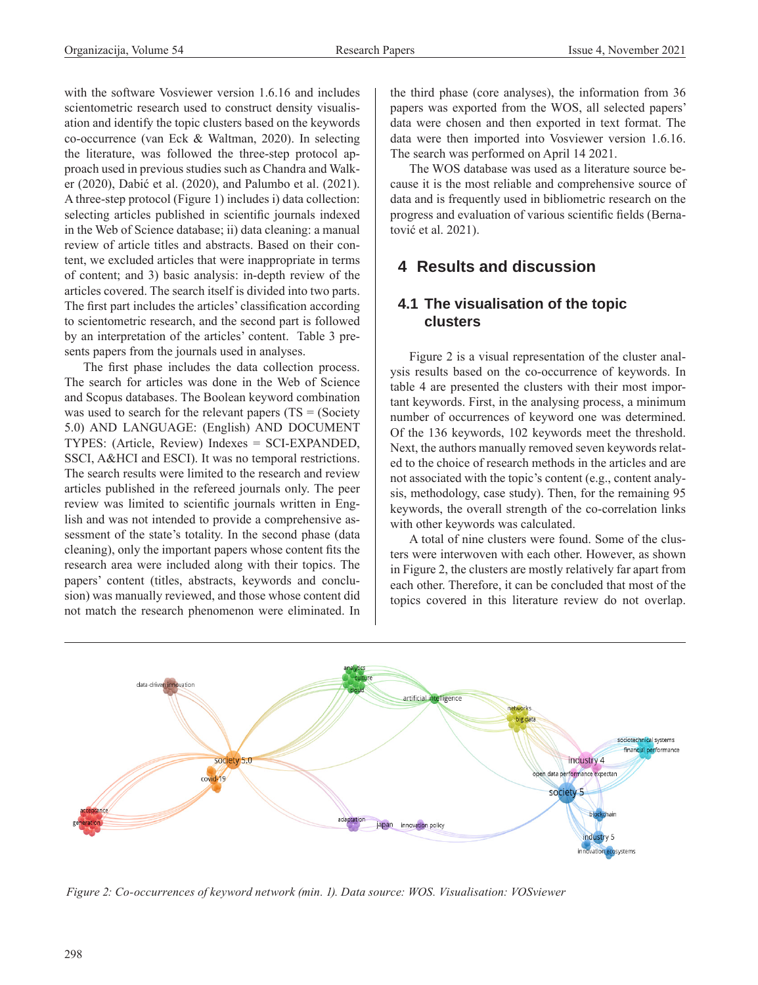with the software Vosviewer version 1.6.16 and includes scientometric research used to construct density visualisation and identify the topic clusters based on the keywords co-occurrence (van Eck & Waltman, 2020). In selecting the literature, was followed the three-step protocol approach used in previous studies such as Chandra and Walker (2020), Dabić et al. (2020), and Palumbo et al. (2021). A three-step protocol (Figure 1) includes i) data collection: selecting articles published in scientific journals indexed in the Web of Science database; ii) data cleaning: a manual review of article titles and abstracts. Based on their content, we excluded articles that were inappropriate in terms of content; and 3) basic analysis: in-depth review of the articles covered. The search itself is divided into two parts. The first part includes the articles' classification according to scientometric research, and the second part is followed by an interpretation of the articles' content. Table 3 presents papers from the journals used in analyses.

The first phase includes the data collection process. The search for articles was done in the Web of Science and Scopus databases. The Boolean keyword combination was used to search for the relevant papers  $(TS = (Society)$ 5.0) AND LANGUAGE: (English) AND DOCUMENT TYPES: (Article, Review) Indexes = SCI-EXPANDED, SSCI, A&HCI and ESCI). It was no temporal restrictions. The search results were limited to the research and review articles published in the refereed journals only. The peer review was limited to scientific journals written in English and was not intended to provide a comprehensive assessment of the state's totality. In the second phase (data cleaning), only the important papers whose content fits the research area were included along with their topics. The papers' content (titles, abstracts, keywords and conclusion) was manually reviewed, and those whose content did not match the research phenomenon were eliminated. In the third phase (core analyses), the information from 36 papers was exported from the WOS, all selected papers' data were chosen and then exported in text format. The data were then imported into Vosviewer version 1.6.16. The search was performed on April 14 2021.

The WOS database was used as a literature source because it is the most reliable and comprehensive source of data and is frequently used in bibliometric research on the progress and evaluation of various scientific fields (Bernatović et al. 2021).

## **4 Results and discussion**

#### **4.1 The visualisation of the topic clusters**

Figure 2 is a visual representation of the cluster analysis results based on the co-occurrence of keywords. In table 4 are presented the clusters with their most important keywords. First, in the analysing process, a minimum number of occurrences of keyword one was determined. Of the 136 keywords, 102 keywords meet the threshold. Next, the authors manually removed seven keywords related to the choice of research methods in the articles and are not associated with the topic's content (e.g., content analysis, methodology, case study). Then, for the remaining 95 keywords, the overall strength of the co-correlation links with other keywords was calculated.

A total of nine clusters were found. Some of the clusters were interwoven with each other. However, as shown in Figure 2, the clusters are mostly relatively far apart from each other. Therefore, it can be concluded that most of the topics covered in this literature review do not overlap.



*Figure 2: Co-occurrences of keyword network (min. 1). Data source: WOS. Visualisation: VOSviewer*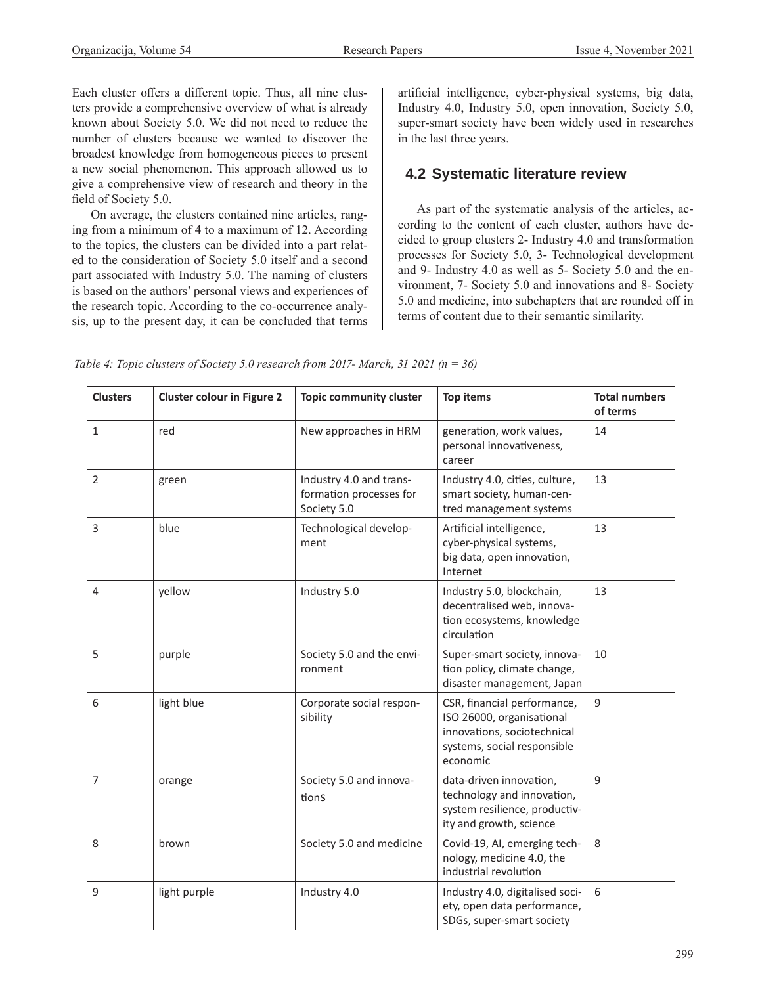Each cluster offers a different topic. Thus, all nine clusters provide a comprehensive overview of what is already known about Society 5.0. We did not need to reduce the number of clusters because we wanted to discover the broadest knowledge from homogeneous pieces to present a new social phenomenon. This approach allowed us to give a comprehensive view of research and theory in the field of Society 5.0.

On average, the clusters contained nine articles, ranging from a minimum of 4 to a maximum of 12. According to the topics, the clusters can be divided into a part related to the consideration of Society 5.0 itself and a second part associated with Industry 5.0. The naming of clusters is based on the authors' personal views and experiences of the research topic. According to the co-occurrence analysis, up to the present day, it can be concluded that terms

artificial intelligence, cyber-physical systems, big data, Industry 4.0, Industry 5.0, open innovation, Society 5.0, super-smart society have been widely used in researches in the last three years.

## **4.2 Systematic literature review**

As part of the systematic analysis of the articles, according to the content of each cluster, authors have decided to group clusters 2- Industry 4.0 and transformation processes for Society 5.0, 3- Technological development and 9- Industry 4.0 as well as 5- Society 5.0 and the environment, 7- Society 5.0 and innovations and 8- Society 5.0 and medicine, into subchapters that are rounded off in terms of content due to their semantic similarity.

*Table 4: Topic clusters of Society 5.0 research from 2017- March, 31 2021 (n = 36)*

| <b>Clusters</b> | <b>Cluster colour in Figure 2</b> | <b>Topic community cluster</b>                                    | <b>Top items</b>                                                                                                                   | <b>Total numbers</b><br>of terms |
|-----------------|-----------------------------------|-------------------------------------------------------------------|------------------------------------------------------------------------------------------------------------------------------------|----------------------------------|
| $\mathbf{1}$    | red                               | New approaches in HRM                                             | generation, work values,<br>personal innovativeness,<br>career                                                                     | 14                               |
| 2               | green                             | Industry 4.0 and trans-<br>formation processes for<br>Society 5.0 | Industry 4.0, cities, culture,<br>smart society, human-cen-<br>tred management systems                                             | 13                               |
| 3               | blue                              | Technological develop-<br>ment                                    | Artificial intelligence,<br>cyber-physical systems,<br>big data, open innovation,<br>Internet                                      | 13                               |
| 4               | yellow                            | Industry 5.0                                                      | Industry 5.0, blockchain,<br>decentralised web, innova-<br>tion ecosystems, knowledge<br>circulation                               | 13                               |
| 5               | purple                            | Society 5.0 and the envi-<br>ronment                              | Super-smart society, innova-<br>tion policy, climate change,<br>disaster management, Japan                                         | 10                               |
| 6               | light blue                        | Corporate social respon-<br>sibility                              | CSR, financial performance,<br>ISO 26000, organisational<br>innovations, sociotechnical<br>systems, social responsible<br>economic | 9                                |
| 7               | orange                            | Society 5.0 and innova-<br>tionS                                  | data-driven innovation,<br>technology and innovation,<br>system resilience, productiv-<br>ity and growth, science                  | 9                                |
| 8               | brown                             | Society 5.0 and medicine                                          | Covid-19, AI, emerging tech-<br>nology, medicine 4.0, the<br>industrial revolution                                                 | 8                                |
| 9               | light purple                      | Industry 4.0                                                      | Industry 4.0, digitalised soci-<br>ety, open data performance,<br>SDGs, super-smart society                                        | 6                                |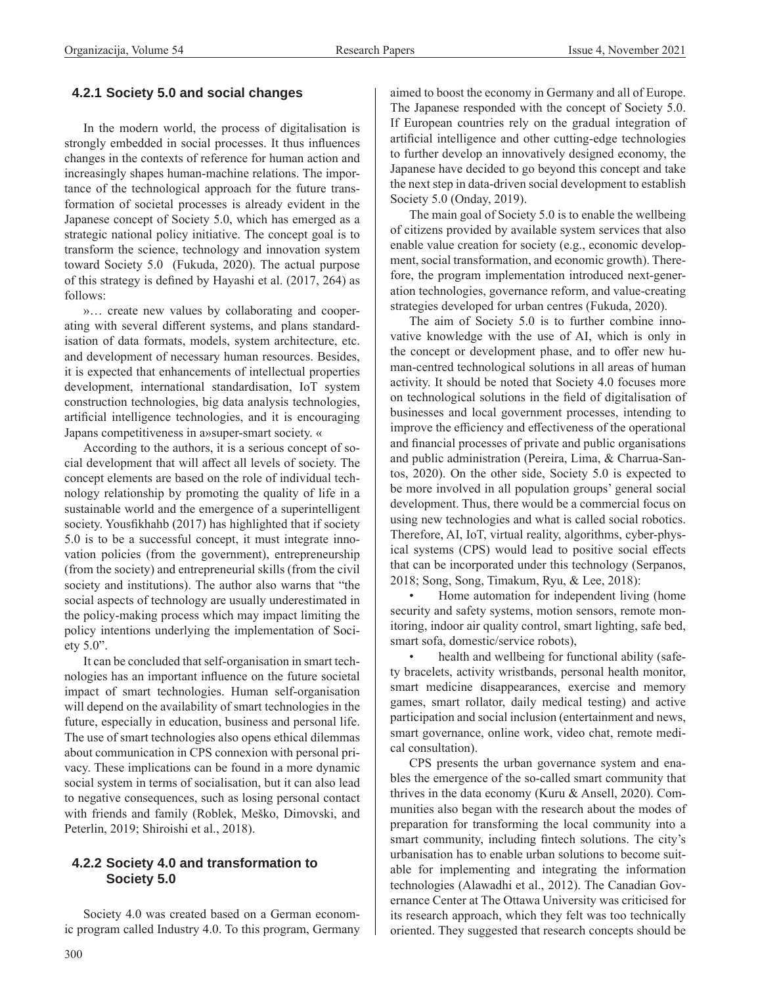#### **4.2.1 Society 5.0 and social changes**

In the modern world, the process of digitalisation is strongly embedded in social processes. It thus influences changes in the contexts of reference for human action and increasingly shapes human-machine relations. The importance of the technological approach for the future transformation of societal processes is already evident in the Japanese concept of Society 5.0, which has emerged as a strategic national policy initiative. The concept goal is to transform the science, technology and innovation system toward Society 5.0 (Fukuda, 2020). The actual purpose of this strategy is defined by Hayashi et al. (2017, 264) as follows:

»… create new values by collaborating and cooperating with several different systems, and plans standardisation of data formats, models, system architecture, etc. and development of necessary human resources. Besides, it is expected that enhancements of intellectual properties development, international standardisation, IoT system construction technologies, big data analysis technologies, artificial intelligence technologies, and it is encouraging Japans competitiveness in a»super-smart society. «

According to the authors, it is a serious concept of social development that will affect all levels of society. The concept elements are based on the role of individual technology relationship by promoting the quality of life in a sustainable world and the emergence of a superintelligent society. Yousfikhahb (2017) has highlighted that if society 5.0 is to be a successful concept, it must integrate innovation policies (from the government), entrepreneurship (from the society) and entrepreneurial skills (from the civil society and institutions). The author also warns that "the social aspects of technology are usually underestimated in the policy-making process which may impact limiting the policy intentions underlying the implementation of Society 5.0".

It can be concluded that self-organisation in smart technologies has an important influence on the future societal impact of smart technologies. Human self-organisation will depend on the availability of smart technologies in the future, especially in education, business and personal life. The use of smart technologies also opens ethical dilemmas about communication in CPS connexion with personal privacy. These implications can be found in a more dynamic social system in terms of socialisation, but it can also lead to negative consequences, such as losing personal contact with friends and family (Roblek, Meško, Dimovski, and Peterlin, 2019; Shiroishi et al., 2018).

#### **4.2.2 Society 4.0 and transformation to Society 5.0**

Society 4.0 was created based on a German economic program called Industry 4.0. To this program, Germany aimed to boost the economy in Germany and all of Europe. The Japanese responded with the concept of Society 5.0. If European countries rely on the gradual integration of artificial intelligence and other cutting-edge technologies to further develop an innovatively designed economy, the Japanese have decided to go beyond this concept and take the next step in data-driven social development to establish Society 5.0 (Onday, 2019).

The main goal of Society 5.0 is to enable the wellbeing of citizens provided by available system services that also enable value creation for society (e.g., economic development, social transformation, and economic growth). Therefore, the program implementation introduced next-generation technologies, governance reform, and value-creating strategies developed for urban centres (Fukuda, 2020).

The aim of Society 5.0 is to further combine innovative knowledge with the use of AI, which is only in the concept or development phase, and to offer new human-centred technological solutions in all areas of human activity. It should be noted that Society 4.0 focuses more on technological solutions in the field of digitalisation of businesses and local government processes, intending to improve the efficiency and effectiveness of the operational and financial processes of private and public organisations and public administration (Pereira, Lima, & Charrua-Santos, 2020). On the other side, Society 5.0 is expected to be more involved in all population groups' general social development. Thus, there would be a commercial focus on using new technologies and what is called social robotics. Therefore, AI, IoT, virtual reality, algorithms, cyber-physical systems (CPS) would lead to positive social effects that can be incorporated under this technology (Serpanos, 2018; Song, Song, Timakum, Ryu, & Lee, 2018):

Home automation for independent living (home security and safety systems, motion sensors, remote monitoring, indoor air quality control, smart lighting, safe bed, smart sofa, domestic/service robots),

health and wellbeing for functional ability (safety bracelets, activity wristbands, personal health monitor, smart medicine disappearances, exercise and memory games, smart rollator, daily medical testing) and active participation and social inclusion (entertainment and news, smart governance, online work, video chat, remote medical consultation).

CPS presents the urban governance system and enables the emergence of the so-called smart community that thrives in the data economy (Kuru & Ansell, 2020). Communities also began with the research about the modes of preparation for transforming the local community into a smart community, including fintech solutions. The city's urbanisation has to enable urban solutions to become suitable for implementing and integrating the information technologies (Alawadhi et al., 2012). The Canadian Governance Center at The Ottawa University was criticised for its research approach, which they felt was too technically oriented. They suggested that research concepts should be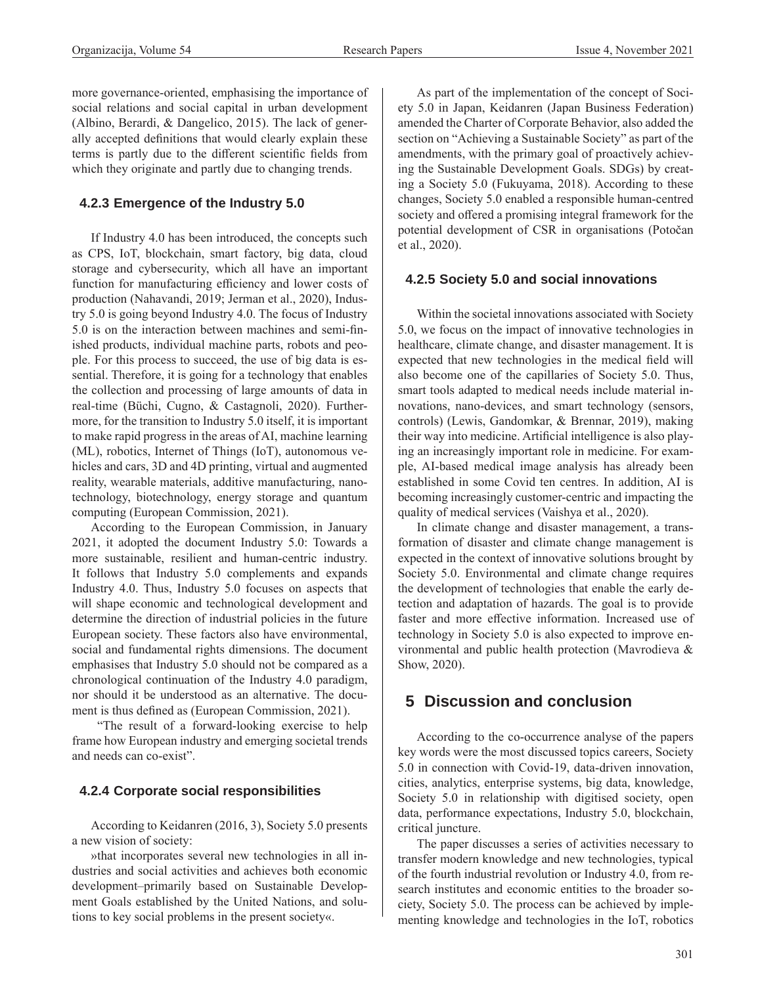more governance-oriented, emphasising the importance of social relations and social capital in urban development (Albino, Berardi, & Dangelico, 2015). The lack of generally accepted definitions that would clearly explain these terms is partly due to the different scientific fields from which they originate and partly due to changing trends.

#### **4.2.3 Emergence of the Industry 5.0**

If Industry 4.0 has been introduced, the concepts such as CPS, IoT, blockchain, smart factory, big data, cloud storage and cybersecurity, which all have an important function for manufacturing efficiency and lower costs of production (Nahavandi, 2019; Jerman et al., 2020), Industry 5.0 is going beyond Industry 4.0. The focus of Industry 5.0 is on the interaction between machines and semi-finished products, individual machine parts, robots and people. For this process to succeed, the use of big data is essential. Therefore, it is going for a technology that enables the collection and processing of large amounts of data in real-time (Büchi, Cugno, & Castagnoli, 2020). Furthermore, for the transition to Industry 5.0 itself, it is important to make rapid progress in the areas of AI, machine learning (ML), robotics, Internet of Things (IoT), autonomous vehicles and cars, 3D and 4D printing, virtual and augmented reality, wearable materials, additive manufacturing, nanotechnology, biotechnology, energy storage and quantum computing (European Commission, 2021).

According to the European Commission, in January 2021, it adopted the document Industry 5.0: Towards a more sustainable, resilient and human-centric industry. It follows that Industry 5.0 complements and expands Industry 4.0. Thus, Industry 5.0 focuses on aspects that will shape economic and technological development and determine the direction of industrial policies in the future European society. These factors also have environmental, social and fundamental rights dimensions. The document emphasises that Industry 5.0 should not be compared as a chronological continuation of the Industry 4.0 paradigm, nor should it be understood as an alternative. The document is thus defined as (European Commission, 2021).

 "The result of a forward-looking exercise to help frame how European industry and emerging societal trends and needs can co-exist".

#### **4.2.4 Corporate social responsibilities**

According to Keidanren (2016, 3), Society 5.0 presents a new vision of society:

»that incorporates several new technologies in all industries and social activities and achieves both economic development–primarily based on Sustainable Development Goals established by the United Nations, and solutions to key social problems in the present society«.

As part of the implementation of the concept of Society 5.0 in Japan, Keidanren (Japan Business Federation) amended the Charter of Corporate Behavior, also added the section on "Achieving a Sustainable Society" as part of the amendments, with the primary goal of proactively achieving the Sustainable Development Goals. SDGs) by creating a Society 5.0 (Fukuyama, 2018). According to these changes, Society 5.0 enabled a responsible human-centred society and offered a promising integral framework for the potential development of CSR in organisations (Potočan et al., 2020).

#### **4.2.5 Society 5.0 and social innovations**

Within the societal innovations associated with Society 5.0, we focus on the impact of innovative technologies in healthcare, climate change, and disaster management. It is expected that new technologies in the medical field will also become one of the capillaries of Society 5.0. Thus, smart tools adapted to medical needs include material innovations, nano-devices, and smart technology (sensors, controls) (Lewis, Gandomkar, & Brennar, 2019), making their way into medicine. Artificial intelligence is also playing an increasingly important role in medicine. For example, AI-based medical image analysis has already been established in some Covid ten centres. In addition, AI is becoming increasingly customer-centric and impacting the quality of medical services (Vaishya et al., 2020).

In climate change and disaster management, a transformation of disaster and climate change management is expected in the context of innovative solutions brought by Society 5.0. Environmental and climate change requires the development of technologies that enable the early detection and adaptation of hazards. The goal is to provide faster and more effective information. Increased use of technology in Society 5.0 is also expected to improve environmental and public health protection (Mavrodieva & Show, 2020).

## **5 Discussion and conclusion**

According to the co-occurrence analyse of the papers key words were the most discussed topics careers, Society 5.0 in connection with Covid-19, data-driven innovation, cities, analytics, enterprise systems, big data, knowledge, Society 5.0 in relationship with digitised society, open data, performance expectations, Industry 5.0, blockchain, critical juncture.

The paper discusses a series of activities necessary to transfer modern knowledge and new technologies, typical of the fourth industrial revolution or Industry 4.0, from research institutes and economic entities to the broader society, Society 5.0. The process can be achieved by implementing knowledge and technologies in the IoT, robotics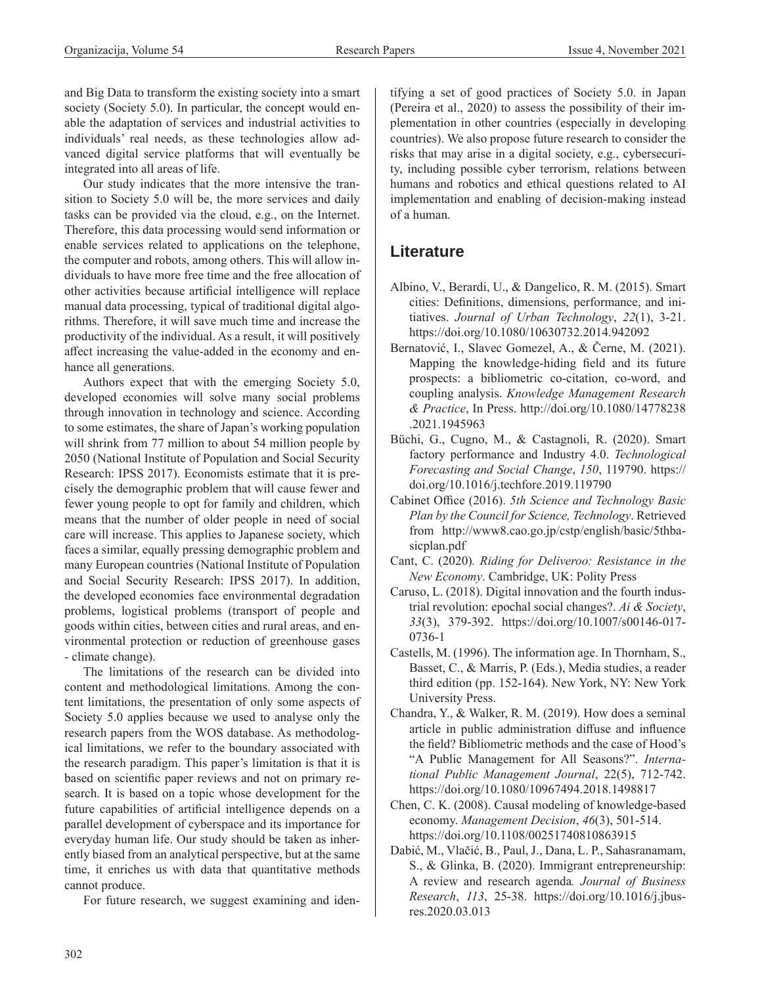and Big Data to transform the existing society into a smart society (Society 5.0). In particular, the concept would enable the adaptation of services and industrial activities to individuals' real needs, as these technologies allow advanced digital service platforms that will eventually be integrated into all areas of life.

Our study indicates that the more intensive the transition to Society 5.0 will be, the more services and daily tasks can be provided via the cloud, e.g., on the Internet. Therefore, this data processing would send information or enable services related to applications on the telephone, the computer and robots, among others. This will allow individuals to have more free time and the free allocation of other activities because artificial intelligence will replace manual data processing, typical of traditional digital algorithms. Therefore, it will save much time and increase the productivity of the individual. As a result, it will positively affect increasing the value-added in the economy and enhance all generations.

Authors expect that with the emerging Society 5.0, developed economies will solve many social problems through innovation in technology and science. According to some estimates, the share of Japan's working population will shrink from 77 million to about 54 million people by 2050 (National Institute of Population and Social Security Research: IPSS 2017). Economists estimate that it is precisely the demographic problem that will cause fewer and fewer young people to opt for family and children, which means that the number of older people in need of social care will increase. This applies to Japanese society, which faces a similar, equally pressing demographic problem and many European countries (National Institute of Population and Social Security Research: IPSS 2017). In addition, the developed economies face environmental degradation problems, logistical problems (transport of people and goods within cities, between cities and rural areas, and environmental protection or reduction of greenhouse gases - climate change).

The limitations of the research can be divided into content and methodological limitations. Among the content limitations, the presentation of only some aspects of Society 5.0 applies because we used to analyse only the research papers from the WOS database. As methodological limitations, we refer to the boundary associated with the research paradigm. This paper's limitation is that it is based on scientific paper reviews and not on primary research. It is based on a topic whose development for the future capabilities of artificial intelligence depends on a parallel development of cyberspace and its importance for everyday human life. Our study should be taken as inherently biased from an analytical perspective, but at the same time, it enriches us with data that quantitative methods cannot produce.

For future research, we suggest examining and iden-

tifying a set of good practices of Society 5.0. in Japan (Pereira et al., 2020) to assess the possibility of their implementation in other countries (especially in developing countries). We also propose future research to consider the risks that may arise in a digital society, e.g., cybersecurity, including possible cyber terrorism, relations between humans and robotics and ethical questions related to AI implementation and enabling of decision-making instead of a human.

## **Literature**

- Albino, V., Berardi, U., & Dangelico, R. M. (2015). Smart cities: Definitions, dimensions, performance, and initiatives. *Journal of Urban Technology*, *22*(1), 3-21. <https://doi.org/10.1080/10630732.2014.942092>
- Bernatović, I., Slavec Gomezel, A., & Černe, M. (2021). Mapping the knowledge-hiding field and its future prospects: a bibliometric co-citation, co-word, and coupling analysis. *Knowledge Management Research & Practice*, In Press. [http://doi.org/10.1080/14778238](http://doi.org/10.1080/14778238.2021.1945963) [.2021.1945963](http://doi.org/10.1080/14778238.2021.1945963)
- Büchi, G., Cugno, M., & Castagnoli, R. (2020). Smart factory performance and Industry 4.0. *Technological Forecasting and Social Change*, *150*, 119790. [https://](https://doi.org/10.1016/j.techfore.2019.119790) [doi.org/10.1016/j.techfore.2019.119790](https://doi.org/10.1016/j.techfore.2019.119790)
- Cabinet Office (2016). *5th Science and Technology Basic Plan by the Council for Science, Technology*. Retrieved from [http://www8.cao.go.jp/cstp/english/basic/5thba](http://www8.cao.go.jp/cstp/english/basic/5thbasicplan.pdf)[sicplan.pdf](http://www8.cao.go.jp/cstp/english/basic/5thbasicplan.pdf)
- Cant, C. (2020)*. Riding for Deliveroo: Resistance in the New Economy*. Cambridge, UK: Polity Press
- Caruso, L. (2018). Digital innovation and the fourth industrial revolution: epochal social changes?. *Ai & Society*, *33*(3), 379-392. [https://doi.org/10.1007/s00146-017-](https://doi.org/10.1007/s00146-017-0736-1) [0736-1](https://doi.org/10.1007/s00146-017-0736-1)
- Castells, M. (1996). The information age. In Thornham, S., Basset, C., & Marris, P. (Eds.), Media studies, a reader third edition (pp. 152-164). New York, NY: New York University Press.
- Chandra, Y., & Walker, R. M. (2019). How does a seminal article in public administration diffuse and influence the field? Bibliometric methods and the case of Hood's "A Public Management for All Seasons?". *International Public Management Journal*, 22(5), 712-742. <https://doi.org/10.1080/10967494.2018.1498817>
- Chen, C. K. (2008). Causal modeling of knowledge‐based economy. *Management Decision*, *46*(3), 501-514. <https://doi.org/10.1108/00251740810863915>
- Dabić, M., Vlačić, B., Paul, J., Dana, L. P., Sahasranamam, S., & Glinka, B. (2020). Immigrant entrepreneurship: A review and research agenda*. Journal of Business Research*, *113*, 25-38. [https://doi.org/10.1016/j.jbus](https://doi.org/10.1016/j.jbusres.2020.03.013)[res.2020.03.013](https://doi.org/10.1016/j.jbusres.2020.03.013)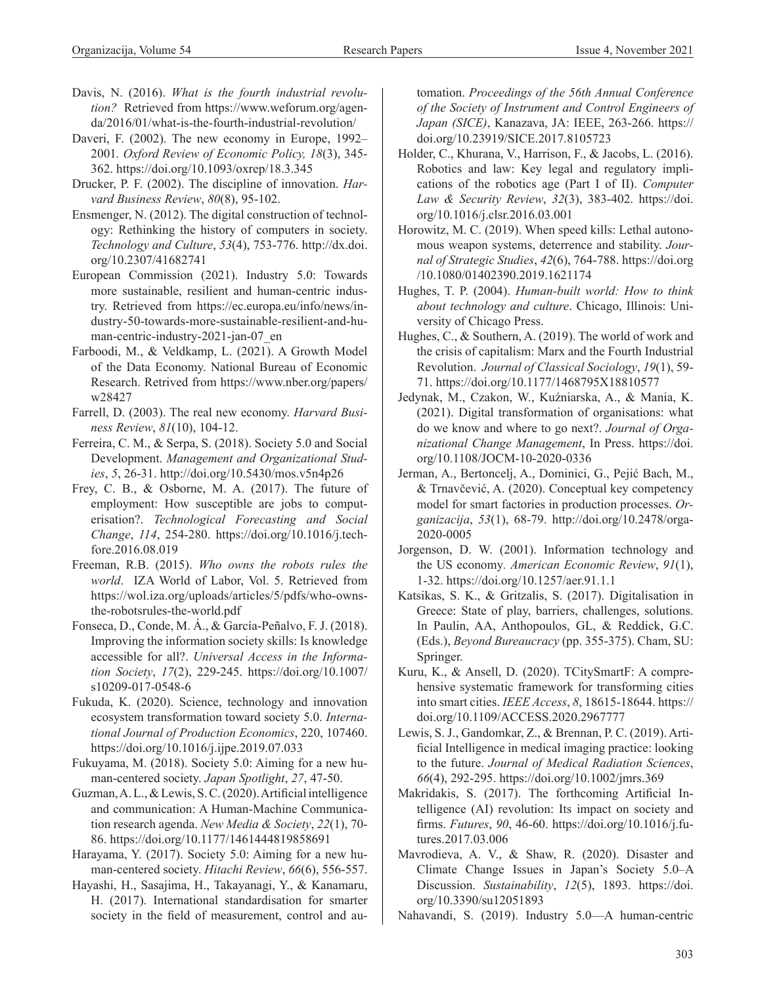- Davis, N. (2016). *What is the fourth industrial revolution?* Retrieved from [https://www.weforum.org/agen](https://www.weforum.org/agenda/2016/01/what-is-the-fourth-industrial-revolution/)[da/2016/01/what-is-the-fourth-industrial-revolution/](https://www.weforum.org/agenda/2016/01/what-is-the-fourth-industrial-revolution/)
- Daveri, F. (2002). The new economy in Europe, 1992– 2001*. Oxford Review of Economic Policy, 18*(3), 345- 362.<https://doi.org/10.1093/oxrep/18.3.345>
- Drucker, P. F. (2002). The discipline of innovation. *Harvard Business Review*, *80*(8), 95-102.
- Ensmenger, N. (2012). The digital construction of technology: Rethinking the history of computers in society. *Technology and Culture*, *53*(4), 753-776. [http://dx.doi.](http://dx.doi.org/10.2307/41682741) [org/10.2307/41682741](http://dx.doi.org/10.2307/41682741)
- European Commission (2021). Industry 5.0: Towards more sustainable, resilient and human-centric industry. Retrieved from [https://ec.europa.eu/info/news/in](https://ec.europa.eu/info/news/industry-50-towards-more-sustainable-resilient-and-human-centric-industry-2021-jan-07_en)[dustry-50-towards-more-sustainable-resilient-and-hu](https://ec.europa.eu/info/news/industry-50-towards-more-sustainable-resilient-and-human-centric-industry-2021-jan-07_en)[man-centric-industry-2021-jan-07\\_en](https://ec.europa.eu/info/news/industry-50-towards-more-sustainable-resilient-and-human-centric-industry-2021-jan-07_en)
- Farboodi, M., & Veldkamp, L. (2021). A Growth Model of the Data Economy. National Bureau of Economic Research. Retrived from [https://www.nber.org/papers/](https://www.nber.org/papers/w28427) [w28427](https://www.nber.org/papers/w28427)
- Farrell, D. (2003). The real new economy. *Harvard Business Review*, *81*(10), 104-12.
- Ferreira, C. M., & Serpa, S. (2018). Society 5.0 and Social Development. *Management and Organizational Studies*, *5*, 26-31. <http://doi.org/10.5430/mos.v5n4p26>
- Frey, C. B., & Osborne, M. A. (2017). The future of employment: How susceptible are jobs to computerisation?. *Technological Forecasting and Social Change*, *114*, 254-280. [https://doi.org/10.1016/j.tech](https://doi.org/10.1016/j.techfore.2016.08.019)[fore.2016.08.019](https://doi.org/10.1016/j.techfore.2016.08.019)
- Freeman, R.B. (2015). *Who owns the robots rules the world*. IZA World of Labor, Vol. 5. Retrieved from [https://wol.iza.org/uploads/articles/5/pdfs/who-owns](https://wol.iza.org/uploads/articles/5/pdfs/who-owns-the-robotsrules-the-world.pdf)[the-robotsrules-the-world.pdf](https://wol.iza.org/uploads/articles/5/pdfs/who-owns-the-robotsrules-the-world.pdf)
- Fonseca, D., Conde, M. Á., & García-Peñalvo, F. J. (2018). Improving the information society skills: Is knowledge accessible for all?. *Universal Access in the Information Society*, *17*(2), 229-245. [https://doi.org/10.1007/](https://doi.org/10.1007/s10209-017-0548-6) [s10209-017-0548-6](https://doi.org/10.1007/s10209-017-0548-6)
- Fukuda, K. (2020). Science, technology and innovation ecosystem transformation toward society 5.0. *International Journal of Production Economics*, 220, 107460. <https://doi.org/10.1016/j.ijpe.2019.07.033>
- Fukuyama, M. (2018). Society 5.0: Aiming for a new human-centered society. *Japan Spotlight*, *27*, 47-50.
- Guzman, A. L., & Lewis, S. C. (2020). Artificial intelligence and communication: A Human-Machine Communication research agenda. *New Media & Society*, *22*(1), 70- 86.<https://doi.org/10.1177/1461444819858691>
- Harayama, Y. (2017). Society 5.0: Aiming for a new human-centered society. *Hitachi Review*, *66*(6), 556-557.
- Hayashi, H., Sasajima, H., Takayanagi, Y., & Kanamaru, H. (2017). International standardisation for smarter society in the field of measurement, control and au-

tomation. *Proceedings of the 56th Annual Conference of the Society of Instrument and Control Engineers of Japan (SICE)*, Kanazava, JA: IEEE, 263-266. [https://](https://doi.org/10.23919/SICE.2017.8105723) [doi.org/10.23919/SICE.2017.8105723](https://doi.org/10.23919/SICE.2017.8105723)

- Holder, C., Khurana, V., Harrison, F., & Jacobs, L. (2016). Robotics and law: Key legal and regulatory implications of the robotics age (Part I of II). *Computer Law & Security Review*, *32*(3), 383-402. [https://doi.](https://doi.org/10.1016/j.clsr.2016.03.001) [org/10.1016/j.clsr.2016.03.001](https://doi.org/10.1016/j.clsr.2016.03.001)
- Horowitz, M. C. (2019). When speed kills: Lethal autonomous weapon systems, deterrence and stability. *Journal of Strategic Studies*, *42*(6), 764-788. [https://doi.org](https://doi.org/10.1080/01402390.2019.1621174) [/10.1080/01402390.2019.1621174](https://doi.org/10.1080/01402390.2019.1621174)
- Hughes, T. P. (2004). *Human-built world: How to think about technology and culture*. Chicago, Illinois: University of Chicago Press.
- Hughes, C., & Southern, A. (2019). The world of work and the crisis of capitalism: Marx and the Fourth Industrial Revolution. *Journal of Classical Sociology*, *19*(1), 59- 71.<https://doi.org/10.1177/1468795X18810577>
- Jedynak, M., Czakon, W., Kuźniarska, A., & Mania, K. (2021). Digital transformation of organisations: what do we know and where to go next?. *Journal of Organizational Change Management*, In Press. [https://doi.](https://doi.org/10.1108/JOCM-10-2020-0336) [org/10.1108/JOCM-10-2020-0336](https://doi.org/10.1108/JOCM-10-2020-0336)
- Jerman, A., Bertoncelj, A., Dominici, G., Pejić Bach, M., & Trnavčević, A. (2020). Conceptual key competency model for smart factories in production processes. *Organizacija*, *53*(1), 68-79. [http://doi.org/10.2478/orga-](http://doi.org/10.2478/orga-2020-0005)[2020-0005](http://doi.org/10.2478/orga-2020-0005)
- Jorgenson, D. W. (2001). Information technology and the US economy*. American Economic Review*, *91*(1), 1-32. <https://doi.org/10.1257/aer.91.1.1>
- Katsikas, S. K., & Gritzalis, S. (2017). Digitalisation in Greece: State of play, barriers, challenges, solutions. In Paulin, AA, Anthopoulos, GL, & Reddick, G.C. (Eds.), *Beyond Bureaucracy* (pp. 355-375). Cham, SU: Springer.
- Kuru, K., & Ansell, D. (2020). TCitySmartF: A comprehensive systematic framework for transforming cities into smart cities. *IEEE Access*, *8*, 18615-18644. [https://](https://doi.org/10.1109/ACCESS.2020.2967777) [doi.org/10.1109/ACCESS.2020.2967777](https://doi.org/10.1109/ACCESS.2020.2967777)
- Lewis, S. J., Gandomkar, Z., & Brennan, P. C. (2019). Artificial Intelligence in medical imaging practice: looking to the future. *Journal of Medical Radiation Sciences*, *66*(4), 292-295. <https://doi.org/10.1002/jmrs.369>
- Makridakis, S. (2017). The forthcoming Artificial Intelligence (AI) revolution: Its impact on society and firms. *Futures*, *90*, 46-60. [https://doi.org/10.1016/j.fu](https://doi.org/10.1016/j.futures.2017.03.006)[tures.2017.03.006](https://doi.org/10.1016/j.futures.2017.03.006)
- Mavrodieva, A. V., & Shaw, R. (2020). Disaster and Climate Change Issues in Japan's Society 5.0–A Discussion. *Sustainability*, *12*(5), 1893. [https://doi.](https://doi.org/10.3390/su12051893) [org/10.3390/su12051893](https://doi.org/10.3390/su12051893)

Nahavandi, S. (2019). Industry 5.0—A human-centric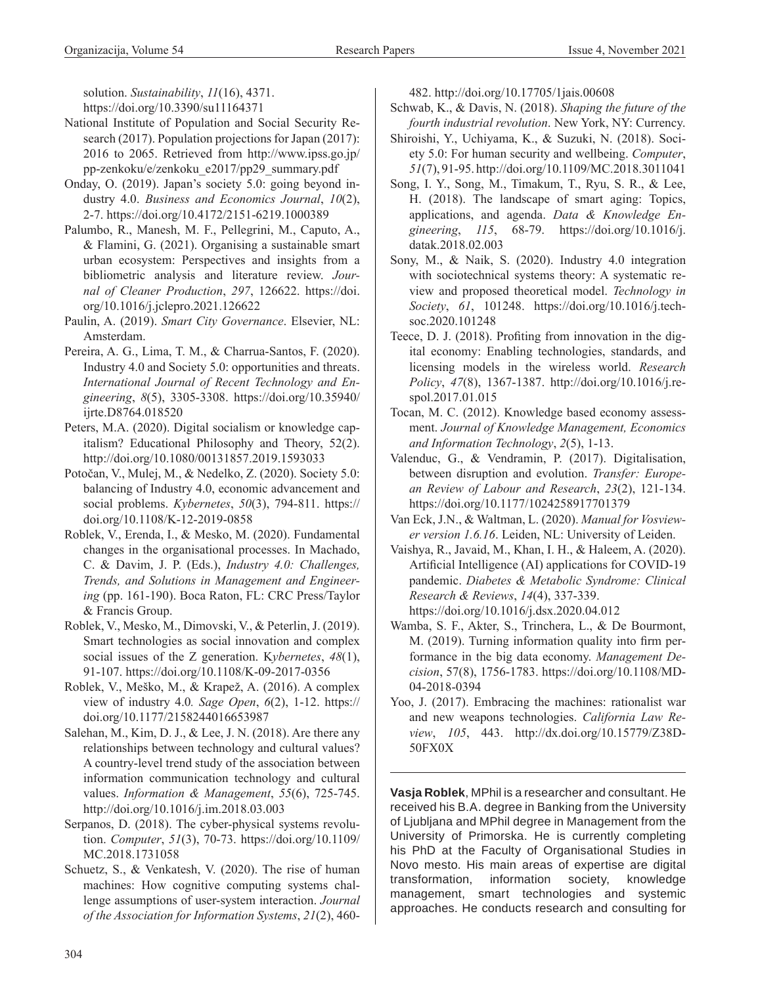solution. *Sustainability*, *11*(16), 4371. <https://doi.org/10.3390/su11164371>

- National Institute of Population and Social Security Research (2017). Population projections for Japan (2017): 2016 to 2065. Retrieved from [http://www.ipss.go.jp/](http://www.ipss.go.jp/pp-zenkoku/e/zenkoku_e2017/pp29_summary.pdf) [pp-zenkoku/e/zenkoku\\_e2017/pp29\\_summary.pdf](http://www.ipss.go.jp/pp-zenkoku/e/zenkoku_e2017/pp29_summary.pdf)
- Onday, O. (2019). Japan's society 5.0: going beyond industry 4.0. *Business and Economics Journal*, *10*(2), 2-7. <https://doi.org/10.4172/2151-6219.1000389>
- Palumbo, R., Manesh, M. F., Pellegrini, M., Caputo, A., & Flamini, G. (2021). Organising a sustainable smart urban ecosystem: Perspectives and insights from a bibliometric analysis and literature review. *Journal of Cleaner Production*, *297*, 126622. [https://doi.](https://doi.org/10.1016/j.jclepro.2021.126622) [org/10.1016/j.jclepro.2021.126622](https://doi.org/10.1016/j.jclepro.2021.126622)
- Paulin, A. (2019). *Smart City Governance*. Elsevier, NL: Amsterdam.
- Pereira, A. G., Lima, T. M., & Charrua-Santos, F. (2020). Industry 4.0 and Society 5.0: opportunities and threats. *International Journal of Recent Technology and Engineering*, *8*(5), 3305-3308. [https://doi.org/10.35940/](https://doi.org/10.35940/ijrte.D8764.018520) [ijrte.D8764.018520](https://doi.org/10.35940/ijrte.D8764.018520)
- Peters, M.A. (2020). Digital socialism or knowledge capitalism? Educational Philosophy and Theory, 52(2). <http://doi.org/10.1080/00131857.2019.1593033>
- Potočan, V., Mulej, M., & Nedelko, Z. (2020). Society 5.0: balancing of Industry 4.0, economic advancement and social problems. *Kybernetes*, *50*(3), 794-811. [https://](https://doi.org/10.1108/K-12-2019-0858) [doi.org/10.1108/K-12-2019-0858](https://doi.org/10.1108/K-12-2019-0858)
- Roblek, V., Erenda, I., & Mesko, M. (2020). Fundamental changes in the organisational processes. In Machado, C. & Davim, J. P. (Eds.), *Industry 4.0: Challenges, Trends, and Solutions in Management and Engineering* (pp. 161-190). Boca Raton, FL: CRC Press/Taylor & Francis Group.
- Roblek, V., Mesko, M., Dimovski, V., & Peterlin, J. (2019). Smart technologies as social innovation and complex social issues of the Z generation. K*ybernetes*, *48*(1), 91-107.<https://doi.org/10.1108/K-09-2017-0356>
- Roblek, V., Meško, M., & Krapež, A. (2016). A complex view of industry 4.0*. Sage Open*, *6*(2), 1-12. [https://](https://doi.org/10.1177/2158244016653987) [doi.org/10.1177/2158244016653987](https://doi.org/10.1177/2158244016653987)
- Salehan, M., Kim, D. J., & Lee, J. N. (2018). Are there any relationships between technology and cultural values? A country-level trend study of the association between information communication technology and cultural values. *Information & Management*, *55*(6), 725-745. <http://doi.org/10.1016/j.im.2018.03.003>
- Serpanos, D. (2018). The cyber-physical systems revolution. *Computer*, *51*(3), 70-73. [https://doi.org/10.1109/](https://doi.org/10.1109/MC.2018.1731058) [MC.2018.1731058](https://doi.org/10.1109/MC.2018.1731058)
- Schuetz, S., & Venkatesh, V. (2020). The rise of human machines: How cognitive computing systems challenge assumptions of user-system interaction. *Journal of the Association for Information Systems*, *21*(2), 460-

482.<http://doi.org/10.17705/1jais.00608>

Schwab, K., & Davis, N. (2018). *Shaping the future of the fourth industrial revolution*. New York, NY: Currency.

- Shiroishi, Y., Uchiyama, K., & Suzuki, N. (2018). Society 5.0: For human security and wellbeing. *Computer*, *51*(7), 91-95.<http://doi.org/10.1109/MC.2018.3011041>
- Song, I. Y., Song, M., Timakum, T., Ryu, S. R., & Lee, H. (2018). The landscape of smart aging: Topics, applications, and agenda. *Data & Knowledge Engineering*, *115*, 68-79. [https://doi.org/10.1016/j.](https://doi.org/10.1016/j.datak.2018.02.003) [datak.2018.02.003](https://doi.org/10.1016/j.datak.2018.02.003)
- Sony, M., & Naik, S. (2020). Industry 4.0 integration with sociotechnical systems theory: A systematic review and proposed theoretical model. *Technology in Society*, *61*, 101248. [https://doi.org/10.1016/j.tech](https://doi.org/10.1016/j.techsoc.2020.101248)[soc.2020.101248](https://doi.org/10.1016/j.techsoc.2020.101248)
- Teece, D. J. (2018). Profiting from innovation in the digital economy: Enabling technologies, standards, and licensing models in the wireless world. *Research Policy*, *47*(8), 1367-1387. [http://doi.org/10.1016/j.re](http://doi.org/10.1016/j.respol.2017.01.015)[spol.2017.01.015](http://doi.org/10.1016/j.respol.2017.01.015)
- Tocan, M. C. (2012). Knowledge based economy assessment. *Journal of Knowledge Management, Economics and Information Technology*, *2*(5), 1-13.
- Valenduc, G., & Vendramin, P. (2017). Digitalisation, between disruption and evolution. *Transfer: European Review of Labour and Research*, *23*(2), 121-134. <https://doi.org/10.1177/1024258917701379>
- Van Eck, J.N., & Waltman, L. (2020). *Manual for Vosviewer version 1.6.16*. Leiden, NL: University of Leiden.
- Vaishya, R., Javaid, M., Khan, I. H., & Haleem, A. (2020). Artificial Intelligence (AI) applications for COVID-19 pandemic. *Diabetes & Metabolic Syndrome: Clinical Research & Reviews*, *14*(4), 337-339. <https://doi.org/10.1016/j.dsx.2020.04.012>
- Wamba, S. F., Akter, S., Trinchera, L., & De Bourmont, M. (2019). Turning information quality into firm performance in the big data economy. *Management Decision*, 57(8), 1756-1783. [https://doi.org/10.1108/MD-](https://doi.org/10.1108/MD-04-2018-0394)[04-2018-0394](https://doi.org/10.1108/MD-04-2018-0394)
- Yoo, J. (2017). Embracing the machines: rationalist war and new weapons technologies. *California Law Review*, *105*, 443. [http://dx.doi.org/10.15779/Z38D-](http://dx.doi.org/10.15779/Z38D50FX0X)[50FX0X](http://dx.doi.org/10.15779/Z38D50FX0X)

**Vasja Roblek**, MPhil is a researcher and consultant. He received his B.A. degree in Banking from the University of Ljubljana and MPhil degree in Management from the University of Primorska. He is currently completing his PhD at the Faculty of Organisational Studies in Novo mesto. His main areas of expertise are digital transformation, information society, knowledge management, smart technologies and systemic approaches. He conducts research and consulting for